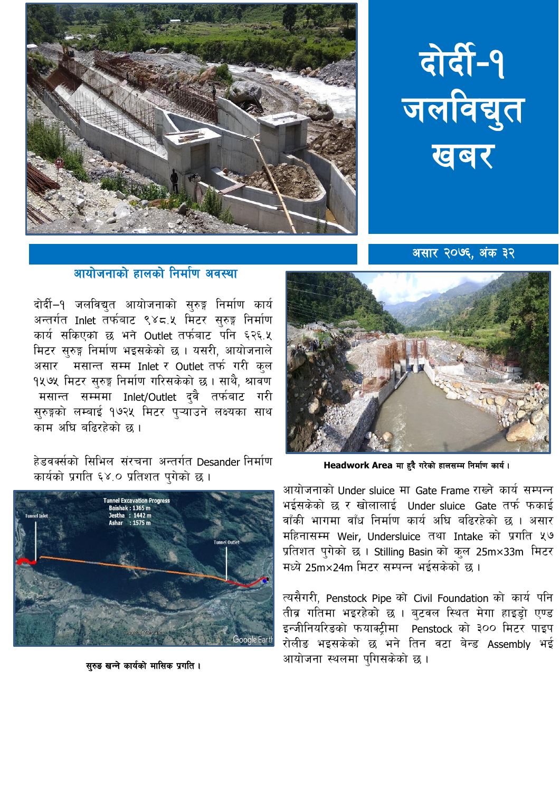



असार २०७६. अंक ३२

## आयोजनाको हालको निर्माण अवस्था

दोर्दी-१ जलविद्युत आयोजनाको सुरुङ्ग निर्माण कार्य अन्तर्गत Inlet तर्फबाट ९४८.५ मिटर सुरुङ्ग निर्माण कार्य सकिएको छ भने Outlet तर्फबाट पनि ६२६.५ मिटर सुरुङ्ग निर्माण भइसकेको छ । यसरी, आयोजनाले असार मसान्त सम्म Inlet र Outlet तर्फ गरी कुल १५७५ मिटर सुरुङ्ग निर्माण गरिसकेको छ । साथै, श्रावण मसान्त सम्ममा Inlet/Outlet द्वै तर्फबाट गरी सुरुङ्गको लम्बाई १७२५ मिटर पुऱ्याँउने लक्ष्यका साथ काम अधि बढिरहेको छ ।

हेडवर्क्सको सिभिल संरचना अन्तर्गत Desander निर्माण कार्यको प्रगति ६४.० प्रतिशत पुगेको छ।



सरुड खन्ने कार्यको मासिक प्रगति ।



Headwork Area मा हुदै गरेको हालसम्म निर्माण कार्य।

आयोजनाको Under sluice मा Gate Frame राख्ने कार्य सम्पन्न भईसकेको छ र खोलालाई Under sluice Gate तर्फ फकाई वाँकी भागमा वाँध निर्माण कार्य अधि बढिरहेको छ । असार महिनासम्म Weir, Undersluice तथा Intake को प्रगति ५७ प्रतिशत पुगेको छ । Stilling Basin को कुल 25m×33m मिटर मध्ये 25m×24m मिटर सम्पन्न भईसकेको छ ।

त्यसैगरी, Penstock Pipe को Civil Foundation को कार्य पनि तीव्र गतिमा भइरहेको छ । ब्टवल स्थित मेगा हाइड्रो एण्ड इन्जीनियरिडको फयाक्ट्रीमा Penstock को ३०० मिटर पाइप रोलीड भइसकेको छ भने तिन वटा बेन्ड Assembly भई आयोजना स्थलमा पुगिसकेको छ।